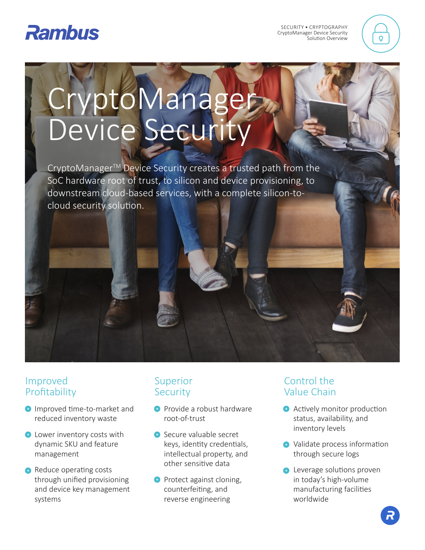

SECURITY • CRYPTOGRAPHY CryptoManager Device Security Solution Overview



# CryptoManager Device Security

CryptoManager<sup>™</sup> Device Security creates a trusted path from the SoC hardware root of trust, to silicon and device provisioning, to downstream cloud-based services, with a complete silicon-tocloud security solution.

### Improved Profitability

- **Improved time-to-market and** reduced inventory waste
- **C** Lower inventory costs with dynamic SKU and feature management
- **C** Reduce operating costs through unified provisioning and device key management systems

## Superior **Security**

- **Provide a robust hardware** root-of-trust
- **B** Secure valuable secret keys, identity credentials, intellectual property, and other sensitive data
- **Protect against cloning,** counterfeiting, and reverse engineering

# Control the Value Chain

- **Actively monitor production** status, availability, and inventory levels
- **↑** Validate process information through secure logs
- **A** Leverage solutions proven in today's high-volume manufacturing facilities worldwide